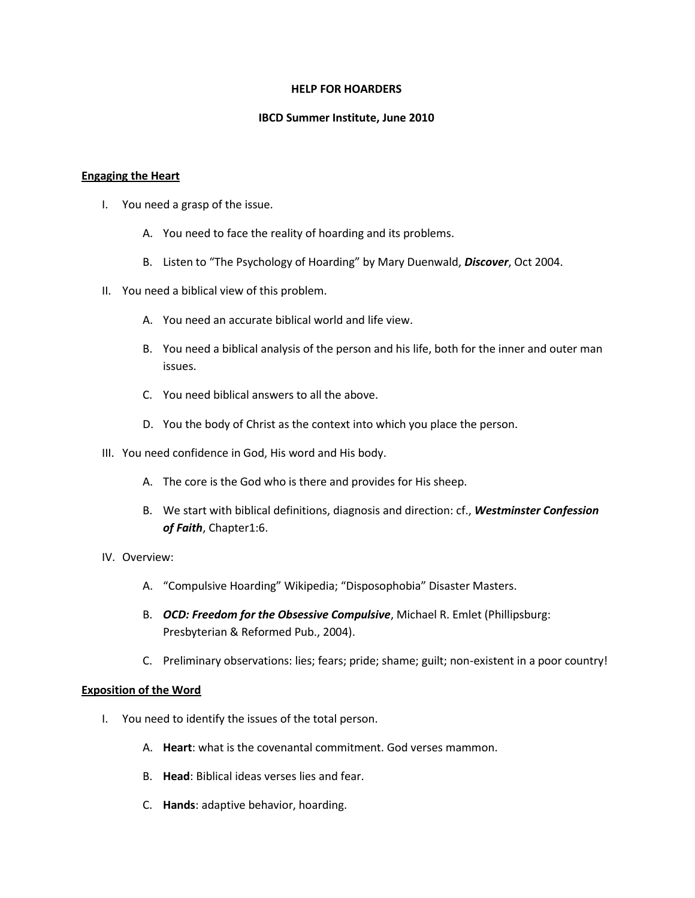### **HELP FOR HOARDERS**

# **IBCD Summer Institute, June 2010**

### **Engaging the Heart**

- I. You need a grasp of the issue.
	- A. You need to face the reality of hoarding and its problems.
	- B. Listen to "The Psychology of Hoarding" by Mary Duenwald, *Discover*, Oct 2004.
- II. You need a biblical view of this problem.
	- A. You need an accurate biblical world and life view.
	- B. You need a biblical analysis of the person and his life, both for the inner and outer man issues.
	- C. You need biblical answers to all the above.
	- D. You the body of Christ as the context into which you place the person.
- III. You need confidence in God, His word and His body.
	- A. The core is the God who is there and provides for His sheep.
	- B. We start with biblical definitions, diagnosis and direction: cf., *Westminster Confession of Faith*, Chapter1:6.
- IV. Overview:
	- A. "Compulsive Hoarding" Wikipedia; "Disposophobia" Disaster Masters.
	- B. *OCD: Freedom for the Obsessive Compulsive*, Michael R. Emlet (Phillipsburg: Presbyterian & Reformed Pub., 2004).
	- C. Preliminary observations: lies; fears; pride; shame; guilt; non-existent in a poor country!

# **Exposition of the Word**

- I. You need to identify the issues of the total person.
	- A. **Heart**: what is the covenantal commitment. God verses mammon.
	- B. **Head**: Biblical ideas verses lies and fear.
	- C. **Hands**: adaptive behavior, hoarding.